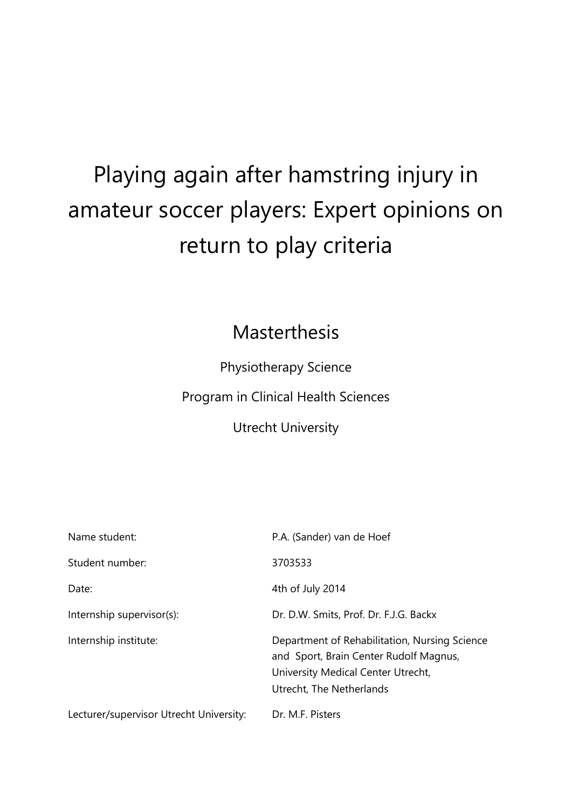# Playing again after hamstring injury in amateur soccer players: Expert opinions on return to play criteria

# Masterthesis

Physiotherapy Science

Program in Clinical Health Sciences

Utrecht University

| Name student:                           | P.A. (Sander) van de Hoef                                                                                                                                 |
|-----------------------------------------|-----------------------------------------------------------------------------------------------------------------------------------------------------------|
| Student number:                         | 3703533                                                                                                                                                   |
| Date:                                   | 4th of July 2014                                                                                                                                          |
| Internship supervisor(s):               | Dr. D.W. Smits, Prof. Dr. F.J.G. Backx                                                                                                                    |
| Internship institute:                   | Department of Rehabilitation, Nursing Science<br>and Sport, Brain Center Rudolf Magnus,<br>University Medical Center Utrecht,<br>Utrecht, The Netherlands |
| Lecturer/supervisor Utrecht University: | Dr. M.F. Pisters                                                                                                                                          |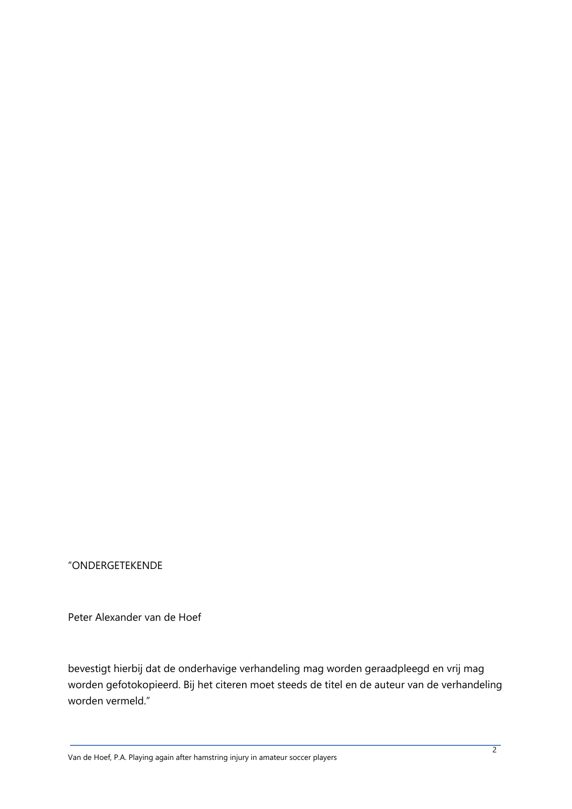"ONDERGETEKENDE

Peter Alexander van de Hoef

bevestigt hierbij dat de onderhavige verhandeling mag worden geraadpleegd en vrij mag worden gefotokopieerd. Bij het citeren moet steeds de titel en de auteur van de verhandeling worden vermeld."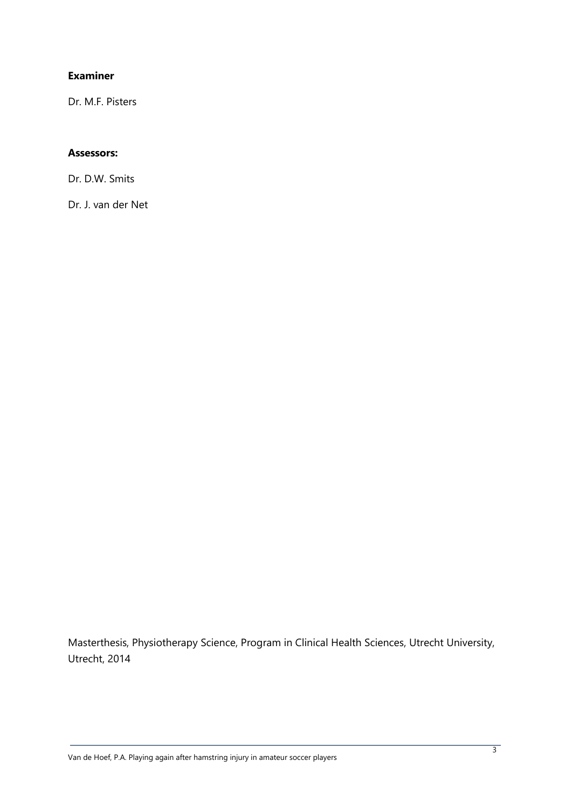# **Examiner**

Dr. M.F. Pisters

#### **Assessors:**

Dr. D.W. Smits

Dr. J. van der Net

Masterthesis, Physiotherapy Science, Program in Clinical Health Sciences, Utrecht University, Utrecht, 2014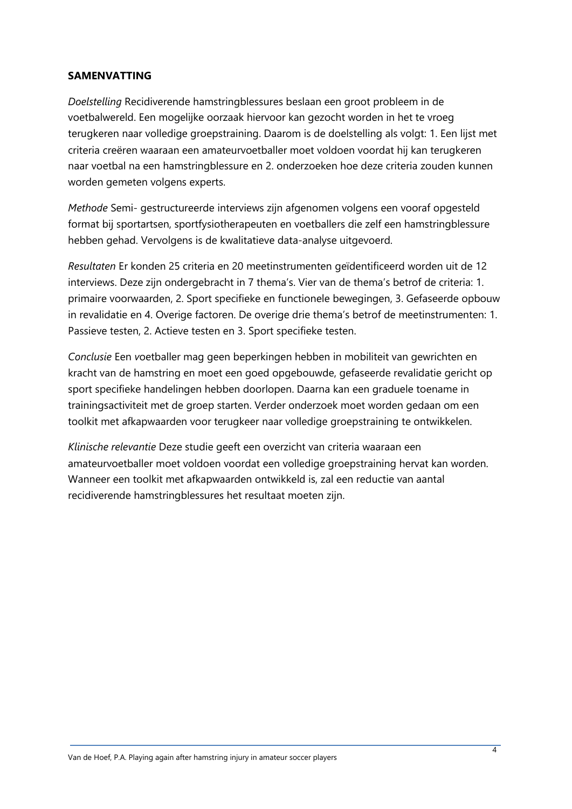#### **SAMENVATTING**

*Doelstelling* Recidiverende hamstringblessures beslaan een groot probleem in de voetbalwereld. Een mogelijke oorzaak hiervoor kan gezocht worden in het te vroeg terugkeren naar volledige groepstraining. Daarom is de doelstelling als volgt: 1. Een lijst met criteria creëren waaraan een amateurvoetballer moet voldoen voordat hij kan terugkeren naar voetbal na een hamstringblessure en 2. onderzoeken hoe deze criteria zouden kunnen worden gemeten volgens experts.

*Methode* Semi- gestructureerde interviews zijn afgenomen volgens een vooraf opgesteld format bij sportartsen, sportfysiotherapeuten en voetballers die zelf een hamstringblessure hebben gehad. Vervolgens is de kwalitatieve data-analyse uitgevoerd.

*Resultaten* Er konden 25 criteria en 20 meetinstrumenten geïdentificeerd worden uit de 12 interviews. Deze zijn ondergebracht in 7 thema's. Vier van de thema's betrof de criteria: 1. primaire voorwaarden, 2. Sport specifieke en functionele bewegingen, 3. Gefaseerde opbouw in revalidatie en 4. Overige factoren. De overige drie thema's betrof de meetinstrumenten: 1. Passieve testen, 2. Actieve testen en 3. Sport specifieke testen.

*Conclusie* Een *v*oetballer mag geen beperkingen hebben in mobiliteit van gewrichten en kracht van de hamstring en moet een goed opgebouwde, gefaseerde revalidatie gericht op sport specifieke handelingen hebben doorlopen. Daarna kan een graduele toename in trainingsactiviteit met de groep starten. Verder onderzoek moet worden gedaan om een toolkit met afkapwaarden voor terugkeer naar volledige groepstraining te ontwikkelen.

*Klinische relevantie* Deze studie geeft een overzicht van criteria waaraan een amateurvoetballer moet voldoen voordat een volledige groepstraining hervat kan worden. Wanneer een toolkit met afkapwaarden ontwikkeld is, zal een reductie van aantal recidiverende hamstringblessures het resultaat moeten zijn.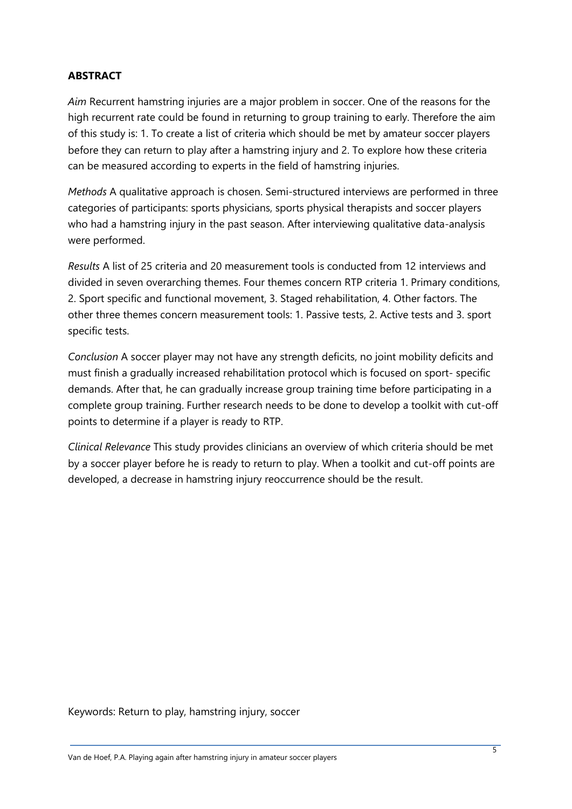# **ABSTRACT**

*Aim* Recurrent hamstring injuries are a major problem in soccer. One of the reasons for the high recurrent rate could be found in returning to group training to early. Therefore the aim of this study is: 1. To create a list of criteria which should be met by amateur soccer players before they can return to play after a hamstring injury and 2. To explore how these criteria can be measured according to experts in the field of hamstring injuries.

*Methods* A qualitative approach is chosen. Semi-structured interviews are performed in three categories of participants: sports physicians, sports physical therapists and soccer players who had a hamstring injury in the past season. After interviewing qualitative data-analysis were performed.

*Results* A list of 25 criteria and 20 measurement tools is conducted from 12 interviews and divided in seven overarching themes. Four themes concern RTP criteria 1. Primary conditions, 2. Sport specific and functional movement, 3. Staged rehabilitation, 4. Other factors. The other three themes concern measurement tools: 1. Passive tests, 2. Active tests and 3. sport specific tests.

*Conclusion* A soccer player may not have any strength deficits, no joint mobility deficits and must finish a gradually increased rehabilitation protocol which is focused on sport- specific demands. After that, he can gradually increase group training time before participating in a complete group training. Further research needs to be done to develop a toolkit with cut-off points to determine if a player is ready to RTP.

*Clinical Relevance* This study provides clinicians an overview of which criteria should be met by a soccer player before he is ready to return to play. When a toolkit and cut-off points are developed, a decrease in hamstring injury reoccurrence should be the result.

Keywords: Return to play, hamstring injury, soccer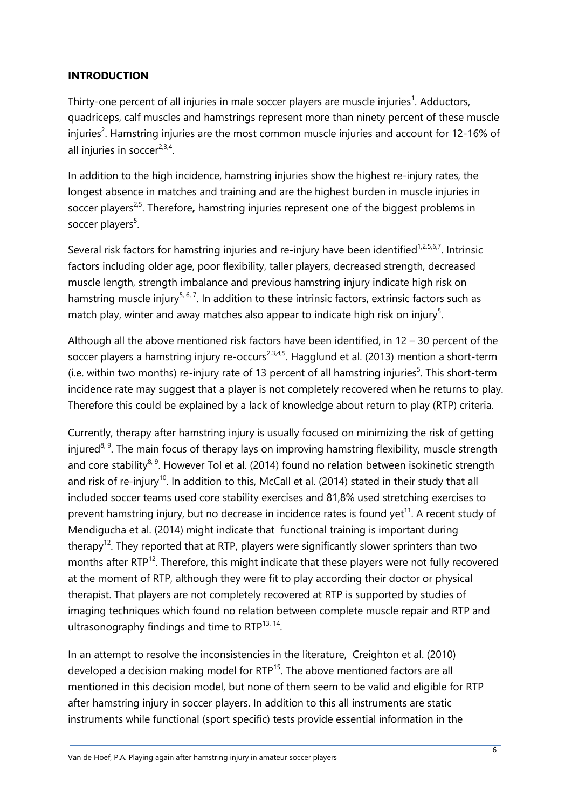# **INTRODUCTION**

Thirty-one percent of all injuries in male soccer players are muscle injuries<sup>1</sup>. Adductors, quadriceps, calf muscles and hamstrings represent more than ninety percent of these muscle injuries<sup>2</sup>. Hamstring injuries are the most common muscle injuries and account for 12-16% of all injuries in soccer<sup>2,3,4</sup>.

In addition to the high incidence, hamstring injuries show the highest re-injury rates, the longest absence in matches and training and are the highest burden in muscle injuries in soccer players<sup>2,5</sup>. Therefore, hamstring injuries represent one of the biggest problems in soccer players<sup>5</sup>.

Several risk factors for hamstring injuries and re-injury have been identified<sup>1,2,5,6,7</sup>. Intrinsic factors including older age, poor flexibility, taller players, decreased strength, decreased muscle length, strength imbalance and previous hamstring injury indicate high risk on hamstring muscle injury<sup>5, 6, 7</sup>. In addition to these intrinsic factors, extrinsic factors such as match play, winter and away matches also appear to indicate high risk on injury<sup>5</sup>.

Although all the above mentioned risk factors have been identified, in 12 – 30 percent of the soccer players a hamstring injury re-occurs<sup>2,3,4,5</sup>. Hagglund et al. (2013) mention a short-term  $(i.e.$  within two months) re-injury rate of 13 percent of all hamstring injuries<sup>5</sup>. This short-term incidence rate may suggest that a player is not completely recovered when he returns to play. Therefore this could be explained by a lack of knowledge about return to play (RTP) criteria.

Currently, therapy after hamstring injury is usually focused on minimizing the risk of getting injured<sup>8, 9</sup>. The main focus of therapy lays on improving hamstring flexibility, muscle strength and core stability<sup>8, 9</sup>. However Tol et al. (2014) found no relation between isokinetic strength and risk of re-injury<sup>10</sup>. In addition to this, McCall et al. (2014) stated in their study that all included soccer teams used core stability exercises and 81,8% used stretching exercises to prevent hamstring injury, but no decrease in incidence rates is found yet $^{11}$ . A recent study of Mendigucha et al. (2014) might indicate that functional training is important during therapy<sup>12</sup>. They reported that at RTP, players were significantly slower sprinters than two months after RTP<sup>12</sup>. Therefore, this might indicate that these players were not fully recovered at the moment of RTP, although they were fit to play according their doctor or physical therapist. That players are not completely recovered at RTP is supported by studies of imaging techniques which found no relation between complete muscle repair and RTP and ultrasonography findings and time to  $RTP^{13, 14}$ .

In an attempt to resolve the inconsistencies in the literature, Creighton et al. (2010) developed a decision making model for RTP<sup>15</sup>. The above mentioned factors are all mentioned in this decision model, but none of them seem to be valid and eligible for RTP after hamstring injury in soccer players. In addition to this all instruments are static instruments while functional (sport specific) tests provide essential information in the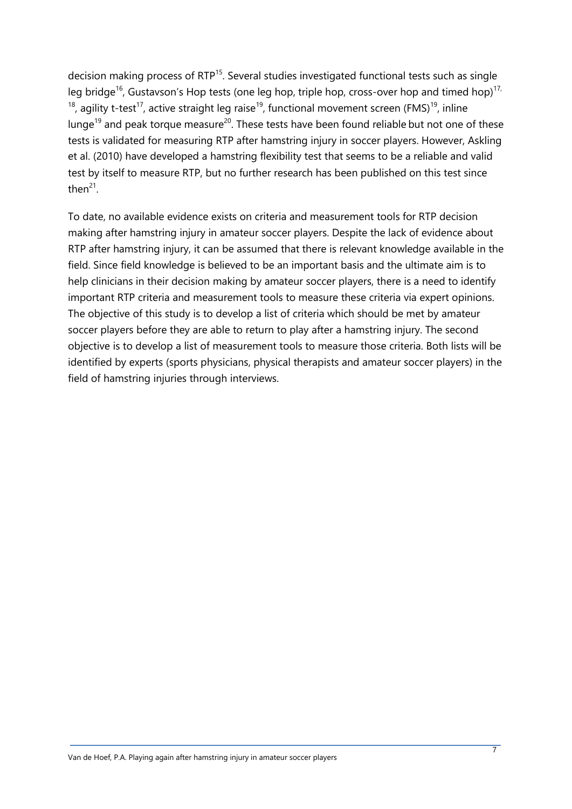decision making process of RTP<sup>15</sup>. Several studies investigated functional tests such as single leg bridge<sup>16</sup>, Gustavson's Hop tests (one leg hop, triple hop, cross-over hop and timed hop)<sup>17,</sup> <sup>18</sup>, agility t-test<sup>17</sup>, active straight leg raise<sup>19</sup>, functional movement screen (FMS)<sup>19</sup>, inline lunge<sup>19</sup> and peak torque measure<sup>20</sup>. These tests have been found reliable but not one of these tests is validated for measuring RTP after hamstring injury in soccer players. However, Askling et al. (2010) have developed a hamstring flexibility test that seems to be a reliable and valid test by itself to measure RTP, but no further research has been published on this test since then $^{21}$ .

To date, no available evidence exists on criteria and measurement tools for RTP decision making after hamstring injury in amateur soccer players. Despite the lack of evidence about RTP after hamstring injury, it can be assumed that there is relevant knowledge available in the field. Since field knowledge is believed to be an important basis and the ultimate aim is to help clinicians in their decision making by amateur soccer players, there is a need to identify important RTP criteria and measurement tools to measure these criteria via expert opinions. The objective of this study is to develop a list of criteria which should be met by amateur soccer players before they are able to return to play after a hamstring injury. The second objective is to develop a list of measurement tools to measure those criteria. Both lists will be identified by experts (sports physicians, physical therapists and amateur soccer players) in the field of hamstring injuries through interviews.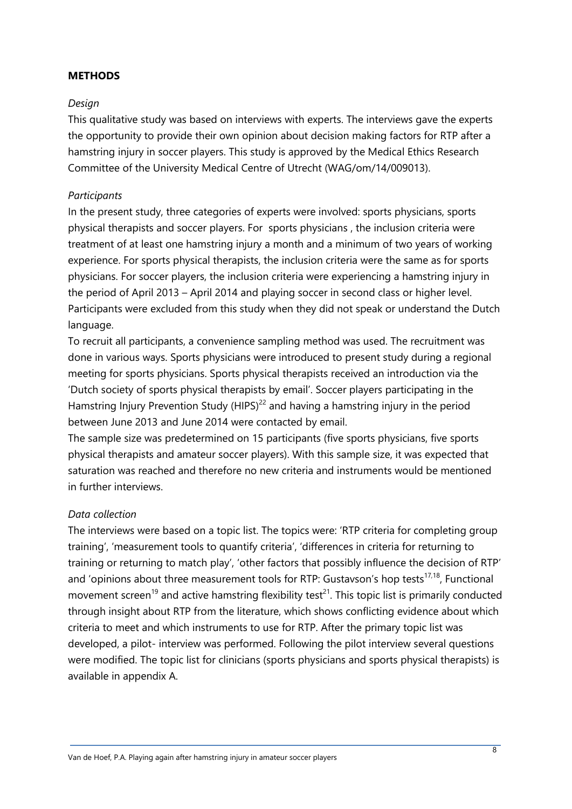#### **METHODS**

## *Design*

This qualitative study was based on interviews with experts. The interviews gave the experts the opportunity to provide their own opinion about decision making factors for RTP after a hamstring injury in soccer players. This study is approved by the Medical Ethics Research Committee of the University Medical Centre of Utrecht (WAG/om/14/009013).

## *Participants*

In the present study, three categories of experts were involved: sports physicians, sports physical therapists and soccer players. For sports physicians , the inclusion criteria were treatment of at least one hamstring injury a month and a minimum of two years of working experience. For sports physical therapists, the inclusion criteria were the same as for sports physicians. For soccer players, the inclusion criteria were experiencing a hamstring injury in the period of April 2013 – April 2014 and playing soccer in second class or higher level. Participants were excluded from this study when they did not speak or understand the Dutch language.

To recruit all participants, a convenience sampling method was used. The recruitment was done in various ways. Sports physicians were introduced to present study during a regional meeting for sports physicians. Sports physical therapists received an introduction via the 'Dutch society of sports physical therapists by email'. Soccer players participating in the Hamstring Injury Prevention Study (HIPS)<sup>22</sup> and having a hamstring injury in the period between June 2013 and June 2014 were contacted by email.

The sample size was predetermined on 15 participants (five sports physicians, five sports physical therapists and amateur soccer players). With this sample size, it was expected that saturation was reached and therefore no new criteria and instruments would be mentioned in further interviews.

# *Data collection*

The interviews were based on a topic list. The topics were: 'RTP criteria for completing group training', 'measurement tools to quantify criteria', 'differences in criteria for returning to training or returning to match play', 'other factors that possibly influence the decision of RTP' and 'opinions about three measurement tools for RTP: Gustavson's hop tests $^{17,18}$ , Functional movement screen<sup>19</sup> and active hamstring flexibility test<sup>21</sup>. This topic list is primarily conducted through insight about RTP from the literature, which shows conflicting evidence about which criteria to meet and which instruments to use for RTP. After the primary topic list was developed, a pilot- interview was performed. Following the pilot interview several questions were modified. The topic list for clinicians (sports physicians and sports physical therapists) is available in appendix A.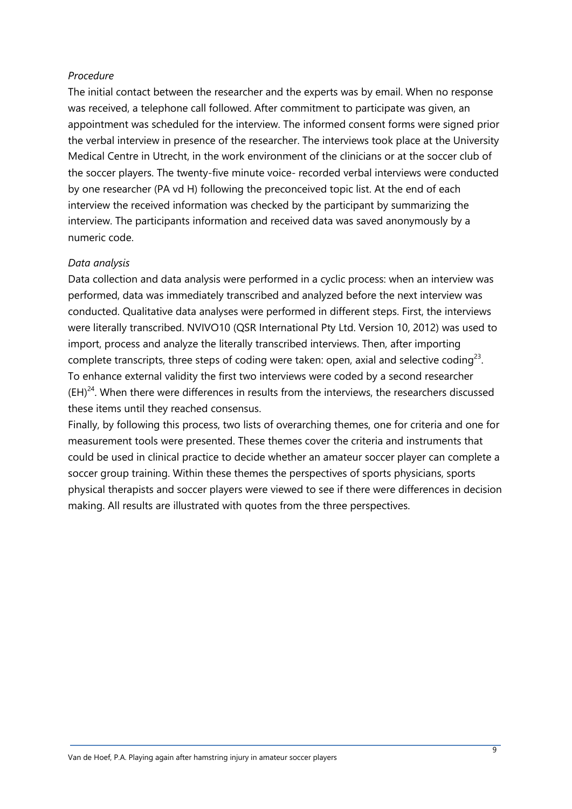#### *Procedure*

The initial contact between the researcher and the experts was by email. When no response was received, a telephone call followed. After commitment to participate was given, an appointment was scheduled for the interview. The informed consent forms were signed prior the verbal interview in presence of the researcher. The interviews took place at the University Medical Centre in Utrecht, in the work environment of the clinicians or at the soccer club of the soccer players. The twenty-five minute voice- recorded verbal interviews were conducted by one researcher (PA vd H) following the preconceived topic list. At the end of each interview the received information was checked by the participant by summarizing the interview. The participants information and received data was saved anonymously by a numeric code.

## *Data analysis*

Data collection and data analysis were performed in a cyclic process: when an interview was performed, data was immediately transcribed and analyzed before the next interview was conducted. Qualitative data analyses were performed in different steps. First, the interviews were literally transcribed. NVIVO10 (QSR International Pty Ltd. Version 10, 2012) was used to import, process and analyze the literally transcribed interviews. Then, after importing complete transcripts, three steps of coding were taken: open, axial and selective coding<sup>23</sup>. To enhance external validity the first two interviews were coded by a second researcher  $(EH)^{24}$ . When there were differences in results from the interviews, the researchers discussed these items until they reached consensus.

Finally, by following this process, two lists of overarching themes, one for criteria and one for measurement tools were presented. These themes cover the criteria and instruments that could be used in clinical practice to decide whether an amateur soccer player can complete a soccer group training. Within these themes the perspectives of sports physicians, sports physical therapists and soccer players were viewed to see if there were differences in decision making. All results are illustrated with quotes from the three perspectives.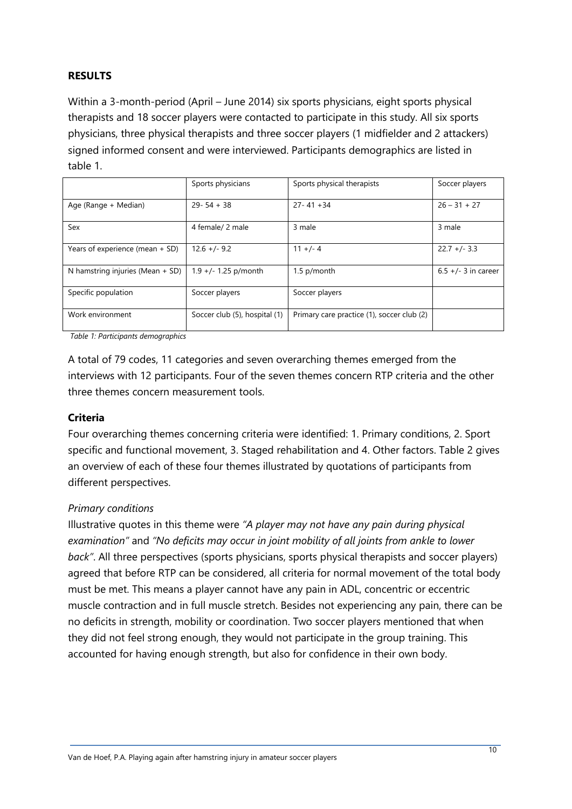# **RESULTS**

Within a 3-month-period (April – June 2014) six sports physicians, eight sports physical therapists and 18 soccer players were contacted to participate in this study. All six sports physicians, three physical therapists and three soccer players (1 midfielder and 2 attackers) signed informed consent and were interviewed. Participants demographics are listed in table 1.

|                                    | Sports physicians             | Sports physical therapists                 | Soccer players        |
|------------------------------------|-------------------------------|--------------------------------------------|-----------------------|
| Age (Range + Median)               | $29 - 54 + 38$                | $27 - 41 + 34$                             | $26 - 31 + 27$        |
| Sex                                | 4 female/ 2 male              | 3 male                                     | 3 male                |
| Years of experience (mean + SD)    | $12.6 +/- 9.2$                | $11 +/- 4$                                 | $22.7 +/- 3.3$        |
| N hamstring injuries (Mean $+$ SD) | $1.9 +/- 1.25$ p/month        | 1.5 p/month                                | $6.5 +/- 3$ in career |
| Specific population                | Soccer players                | Soccer players                             |                       |
| Work environment                   | Soccer club (5), hospital (1) | Primary care practice (1), soccer club (2) |                       |

*Table 1: Participants demographics*

A total of 79 codes, 11 categories and seven overarching themes emerged from the interviews with 12 participants. Four of the seven themes concern RTP criteria and the other three themes concern measurement tools.

#### **Criteria**

Four overarching themes concerning criteria were identified: 1. Primary conditions, 2. Sport specific and functional movement, 3. Staged rehabilitation and 4. Other factors. Table 2 gives an overview of each of these four themes illustrated by quotations of participants from different perspectives.

# *Primary conditions*

Illustrative quotes in this theme were *"A player may not have any pain during physical examination"* and *"No deficits may occur in joint mobility of all joints from ankle to lower back"*. All three perspectives (sports physicians, sports physical therapists and soccer players) agreed that before RTP can be considered, all criteria for normal movement of the total body must be met. This means a player cannot have any pain in ADL, concentric or eccentric muscle contraction and in full muscle stretch. Besides not experiencing any pain, there can be no deficits in strength, mobility or coordination. Two soccer players mentioned that when they did not feel strong enough, they would not participate in the group training. This accounted for having enough strength, but also for confidence in their own body.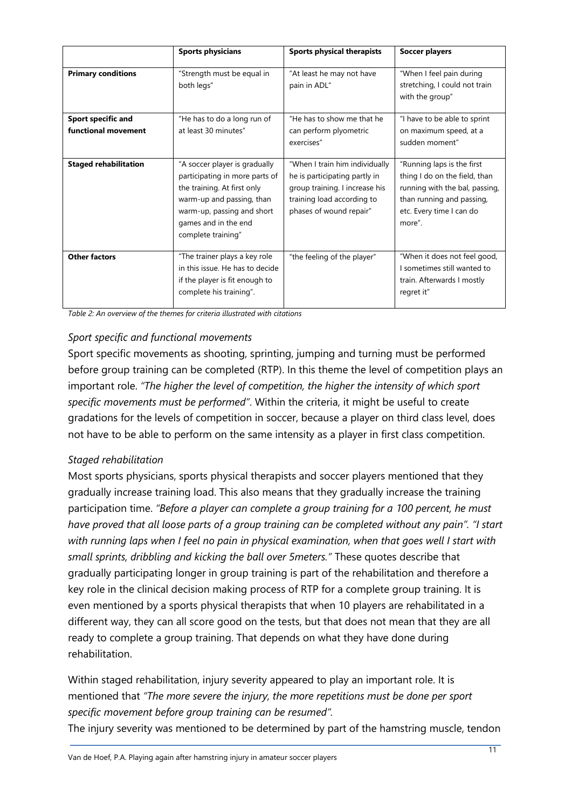|                                                  | <b>Sports physicians</b>                                                                                                                                                                                | Sports physical therapists                                                                                                                                 | <b>Soccer players</b>                                                                                                                                            |
|--------------------------------------------------|---------------------------------------------------------------------------------------------------------------------------------------------------------------------------------------------------------|------------------------------------------------------------------------------------------------------------------------------------------------------------|------------------------------------------------------------------------------------------------------------------------------------------------------------------|
| <b>Primary conditions</b>                        | "Strength must be equal in<br>both legs"                                                                                                                                                                | "At least he may not have<br>pain in ADL"                                                                                                                  | "When I feel pain during<br>stretching, I could not train<br>with the group"                                                                                     |
| <b>Sport specific and</b><br>functional movement | "He has to do a long run of<br>at least 30 minutes"                                                                                                                                                     | "He has to show me that he<br>can perform plyometric<br>exercises"                                                                                         | "I have to be able to sprint<br>on maximum speed, at a<br>sudden moment"                                                                                         |
| <b>Staged rehabilitation</b>                     | "A soccer player is gradually<br>participating in more parts of<br>the training. At first only<br>warm-up and passing, than<br>warm-up, passing and short<br>games and in the end<br>complete training" | "When I train him individually<br>he is participating partly in<br>group training. I increase his<br>training load according to<br>phases of wound repair" | "Running laps is the first<br>thing I do on the field, than<br>running with the bal, passing,<br>than running and passing,<br>etc. Every time I can do<br>more". |
| <b>Other factors</b>                             | "The trainer plays a key role<br>in this issue. He has to decide<br>if the player is fit enough to<br>complete his training".                                                                           | "the feeling of the player"                                                                                                                                | "When it does not feel good,<br>I sometimes still wanted to<br>train. Afterwards I mostly<br>regret it"                                                          |

*Table 2: An overview of the themes for criteria illustrated with citations*

# *Sport specific and functional movements*

Sport specific movements as shooting, sprinting, jumping and turning must be performed before group training can be completed (RTP). In this theme the level of competition plays an important role. *"The higher the level of competition, the higher the intensity of which sport specific movements must be performed"*. Within the criteria, it might be useful to create gradations for the levels of competition in soccer, because a player on third class level, does not have to be able to perform on the same intensity as a player in first class competition.

# *Staged rehabilitation*

Most sports physicians, sports physical therapists and soccer players mentioned that they gradually increase training load. This also means that they gradually increase the training participation time. *"Before a player can complete a group training for a 100 percent, he must have proved that all loose parts of a group training can be completed without any pain". "I start with running laps when I feel no pain in physical examination, when that goes well I start with small sprints, dribbling and kicking the ball over 5meters."* These quotes describe that gradually participating longer in group training is part of the rehabilitation and therefore a key role in the clinical decision making process of RTP for a complete group training. It is even mentioned by a sports physical therapists that when 10 players are rehabilitated in a different way, they can all score good on the tests, but that does not mean that they are all ready to complete a group training. That depends on what they have done during rehabilitation.

Within staged rehabilitation, injury severity appeared to play an important role. It is mentioned that *"The more severe the injury, the more repetitions must be done per sport specific movement before group training can be resumed".* 

The injury severity was mentioned to be determined by part of the hamstring muscle, tendon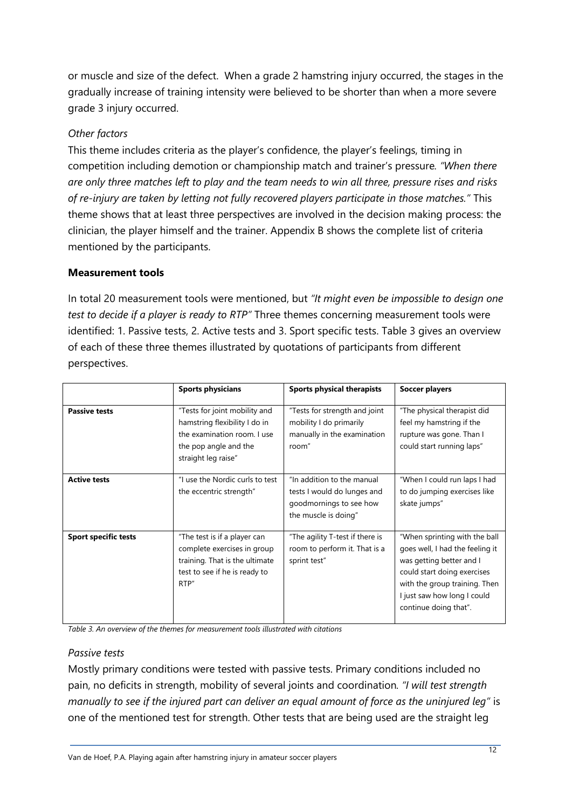or muscle and size of the defect. When a grade 2 hamstring injury occurred, the stages in the gradually increase of training intensity were believed to be shorter than when a more severe grade 3 injury occurred.

# *Other factors*

This theme includes criteria as the player's confidence, the player's feelings, timing in competition including demotion or championship match and trainer's pressure*. "When there are only three matches left to play and the team needs to win all three, pressure rises and risks of re-injury are taken by letting not fully recovered players participate in those matches."* This theme shows that at least three perspectives are involved in the decision making process: the clinician, the player himself and the trainer. Appendix B shows the complete list of criteria mentioned by the participants.

# **Measurement tools**

In total 20 measurement tools were mentioned, but *"It might even be impossible to design one test to decide if a player is ready to RTP"* Three themes concerning measurement tools were identified: 1. Passive tests, 2. Active tests and 3. Sport specific tests. Table 3 gives an overview of each of these three themes illustrated by quotations of participants from different perspectives.

|                             | <b>Sports physicians</b>                                                                                                                      | <b>Sports physical therapists</b>                                                                            | <b>Soccer players</b>                                                                                                                                                                                                |
|-----------------------------|-----------------------------------------------------------------------------------------------------------------------------------------------|--------------------------------------------------------------------------------------------------------------|----------------------------------------------------------------------------------------------------------------------------------------------------------------------------------------------------------------------|
| <b>Passive tests</b>        | "Tests for joint mobility and<br>hamstring flexibility I do in<br>the examination room. I use<br>the pop angle and the<br>straight leg raise" | "Tests for strength and joint<br>mobility I do primarily<br>manually in the examination<br>room"             | "The physical therapist did<br>feel my hamstring if the<br>rupture was gone. Than I<br>could start running laps"                                                                                                     |
| <b>Active tests</b>         | "I use the Nordic curls to test<br>the eccentric strength"                                                                                    | "In addition to the manual<br>tests I would do lunges and<br>goodmornings to see how<br>the muscle is doing" | "When I could run laps I had<br>to do jumping exercises like<br>skate jumps"                                                                                                                                         |
| <b>Sport specific tests</b> | "The test is if a player can<br>complete exercises in group<br>training. That is the ultimate<br>test to see if he is ready to<br>RTP"        | "The agility T-test if there is<br>room to perform it. That is a<br>sprint test"                             | "When sprinting with the ball<br>goes well, I had the feeling it<br>was getting better and I<br>could start doing exercises<br>with the group training. Then<br>I just saw how long I could<br>continue doing that". |

*Table 3. An overview of the themes for measurement tools illustrated with citations*

# *Passive tests*

Mostly primary conditions were tested with passive tests. Primary conditions included no pain, no deficits in strength, mobility of several joints and coordination*. "I will test strength manually to see if the injured part can deliver an equal amount of force as the uninjured leg"* is one of the mentioned test for strength. Other tests that are being used are the straight leg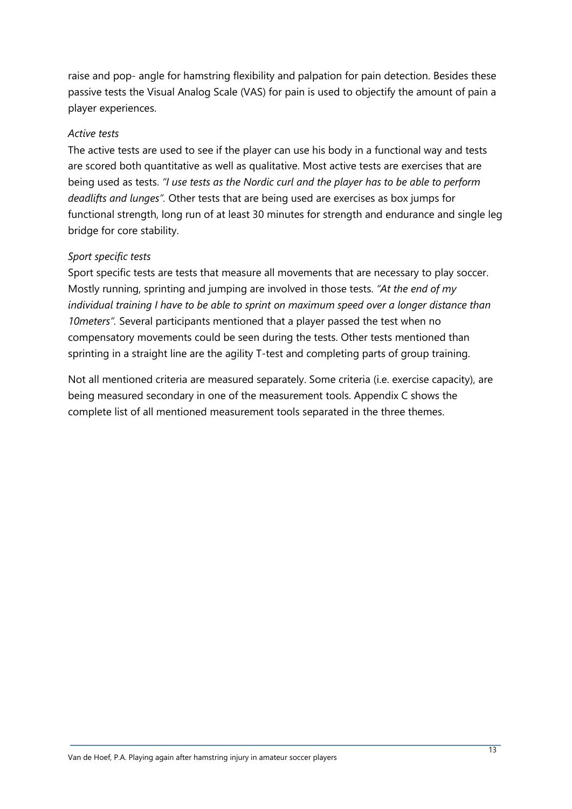raise and pop- angle for hamstring flexibility and palpation for pain detection. Besides these passive tests the Visual Analog Scale (VAS) for pain is used to objectify the amount of pain a player experiences.

# *Active tests*

The active tests are used to see if the player can use his body in a functional way and tests are scored both quantitative as well as qualitative. Most active tests are exercises that are being used as tests. *"I use tests as the Nordic curl and the player has to be able to perform deadlifts and lunges".* Other tests that are being used are exercises as box jumps for functional strength, long run of at least 30 minutes for strength and endurance and single leg bridge for core stability.

# *Sport specific tests*

Sport specific tests are tests that measure all movements that are necessary to play soccer. Mostly running, sprinting and jumping are involved in those tests. *"At the end of my individual training I have to be able to sprint on maximum speed over a longer distance than 10meters".* Several participants mentioned that a player passed the test when no compensatory movements could be seen during the tests. Other tests mentioned than sprinting in a straight line are the agility T-test and completing parts of group training.

Not all mentioned criteria are measured separately. Some criteria (i.e. exercise capacity), are being measured secondary in one of the measurement tools. Appendix C shows the complete list of all mentioned measurement tools separated in the three themes.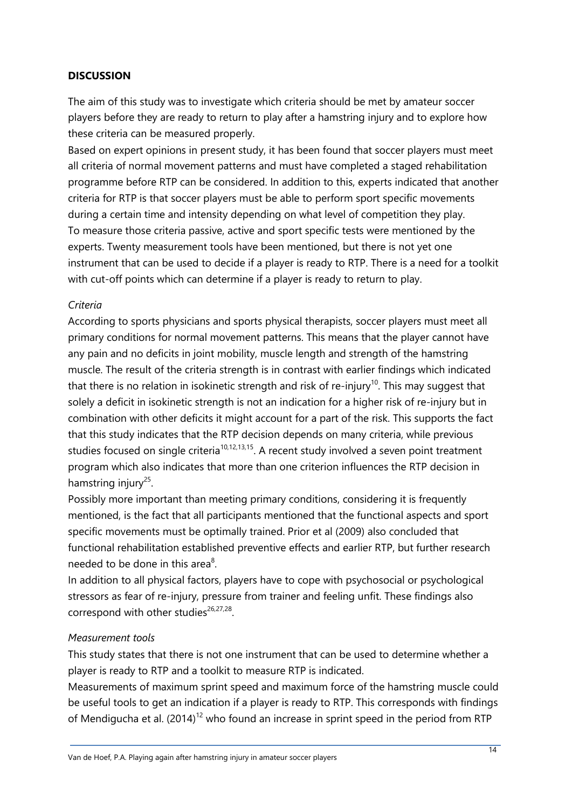# **DISCUSSION**

The aim of this study was to investigate which criteria should be met by amateur soccer players before they are ready to return to play after a hamstring injury and to explore how these criteria can be measured properly.

Based on expert opinions in present study, it has been found that soccer players must meet all criteria of normal movement patterns and must have completed a staged rehabilitation programme before RTP can be considered. In addition to this, experts indicated that another criteria for RTP is that soccer players must be able to perform sport specific movements during a certain time and intensity depending on what level of competition they play. To measure those criteria passive, active and sport specific tests were mentioned by the experts. Twenty measurement tools have been mentioned, but there is not yet one instrument that can be used to decide if a player is ready to RTP. There is a need for a toolkit with cut-off points which can determine if a player is ready to return to play.

# *Criteria*

According to sports physicians and sports physical therapists, soccer players must meet all primary conditions for normal movement patterns. This means that the player cannot have any pain and no deficits in joint mobility, muscle length and strength of the hamstring muscle. The result of the criteria strength is in contrast with earlier findings which indicated that there is no relation in isokinetic strength and risk of re-injury<sup>10</sup>. This may suggest that solely a deficit in isokinetic strength is not an indication for a higher risk of re-injury but in combination with other deficits it might account for a part of the risk. This supports the fact that this study indicates that the RTP decision depends on many criteria, while previous studies focused on single criteria<sup>10,12,13,15</sup>. A recent study involved a seven point treatment program which also indicates that more than one criterion influences the RTP decision in hamstring injury<sup>25</sup>.

Possibly more important than meeting primary conditions, considering it is frequently mentioned, is the fact that all participants mentioned that the functional aspects and sport specific movements must be optimally trained. Prior et al (2009) also concluded that functional rehabilitation established preventive effects and earlier RTP, but further research needed to be done in this area<sup>8</sup>.

In addition to all physical factors, players have to cope with psychosocial or psychological stressors as fear of re-injury, pressure from trainer and feeling unfit. These findings also correspond with other studies $26,27,28$ .

#### *Measurement tools*

This study states that there is not one instrument that can be used to determine whether a player is ready to RTP and a toolkit to measure RTP is indicated.

Measurements of maximum sprint speed and maximum force of the hamstring muscle could be useful tools to get an indication if a player is ready to RTP. This corresponds with findings of Mendigucha et al.  $(2014)^{12}$  who found an increase in sprint speed in the period from RTP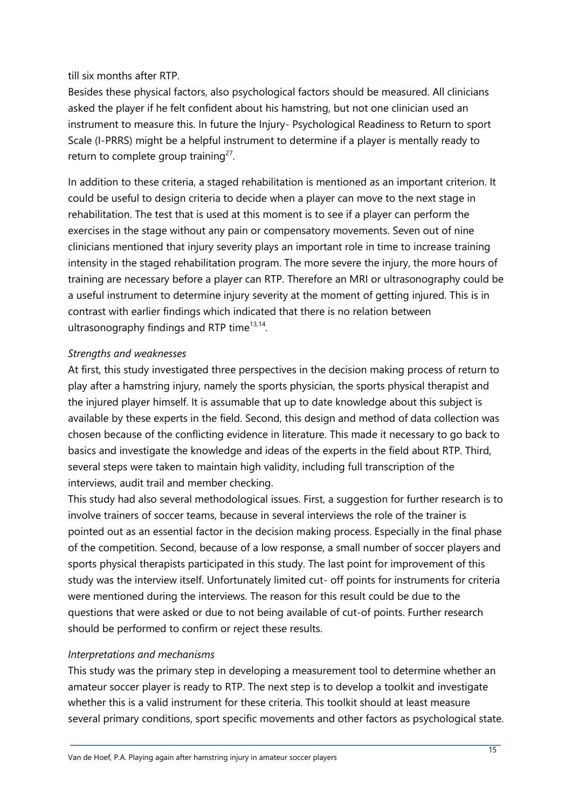till six months after RTP.

Besides these physical factors, also psychological factors should be measured. All clinicians asked the player if he felt confident about his hamstring, but not one clinician used an instrument to measure this. In future the Injury- Psychological Readiness to Return to sport Scale (I-PRRS) might be a helpful instrument to determine if a player is mentally ready to return to complete group training<sup>27</sup>.

In addition to these criteria, a staged rehabilitation is mentioned as an important criterion. It could be useful to design criteria to decide when a player can move to the next stage in rehabilitation. The test that is used at this moment is to see if a player can perform the exercises in the stage without any pain or compensatory movements. Seven out of nine clinicians mentioned that injury severity plays an important role in time to increase training intensity in the staged rehabilitation program. The more severe the injury, the more hours of training are necessary before a player can RTP. Therefore an MRI or ultrasonography could be a useful instrument to determine injury severity at the moment of getting injured. This is in contrast with earlier findings which indicated that there is no relation between ultrasonography findings and RTP time<sup>13,14</sup>.

# *Strengths and weaknesses*

At first, this study investigated three perspectives in the decision making process of return to play after a hamstring injury, namely the sports physician, the sports physical therapist and the injured player himself. It is assumable that up to date knowledge about this subject is available by these experts in the field. Second, this design and method of data collection was chosen because of the conflicting evidence in literature. This made it necessary to go back to basics and investigate the knowledge and ideas of the experts in the field about RTP. Third, several steps were taken to maintain high validity, including full transcription of the interviews, audit trail and member checking.

This study had also several methodological issues. First, a suggestion for further research is to involve trainers of soccer teams, because in several interviews the role of the trainer is pointed out as an essential factor in the decision making process. Especially in the final phase of the competition. Second, because of a low response, a small number of soccer players and sports physical therapists participated in this study. The last point for improvement of this study was the interview itself. Unfortunately limited cut- off points for instruments for criteria were mentioned during the interviews. The reason for this result could be due to the questions that were asked or due to not being available of cut-of points. Further research should be performed to confirm or reject these results.

# *Interpretations and mechanisms*

This study was the primary step in developing a measurement tool to determine whether an amateur soccer player is ready to RTP. The next step is to develop a toolkit and investigate whether this is a valid instrument for these criteria. This toolkit should at least measure several primary conditions, sport specific movements and other factors as psychological state.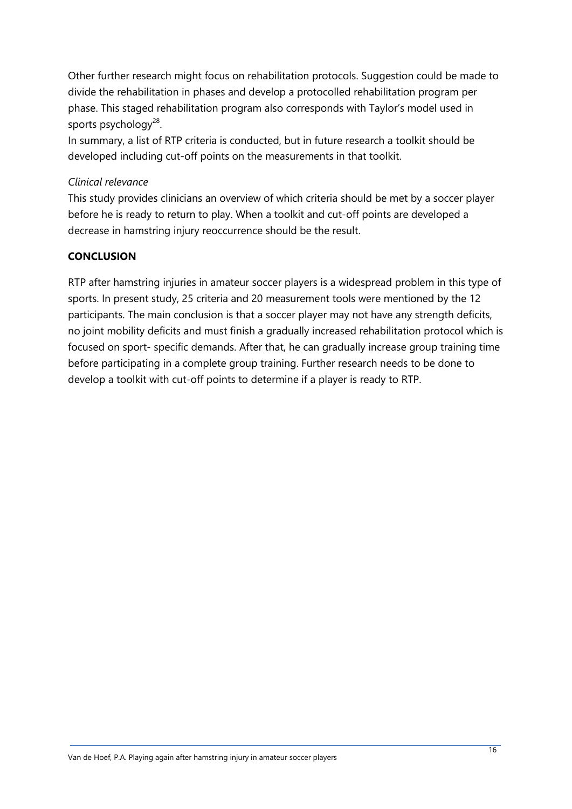Other further research might focus on rehabilitation protocols. Suggestion could be made to divide the rehabilitation in phases and develop a protocolled rehabilitation program per phase. This staged rehabilitation program also corresponds with Taylor's model used in sports psychology<sup>28</sup>.

In summary, a list of RTP criteria is conducted, but in future research a toolkit should be developed including cut-off points on the measurements in that toolkit.

# *Clinical relevance*

This study provides clinicians an overview of which criteria should be met by a soccer player before he is ready to return to play. When a toolkit and cut-off points are developed a decrease in hamstring injury reoccurrence should be the result.

# **CONCLUSION**

RTP after hamstring injuries in amateur soccer players is a widespread problem in this type of sports. In present study, 25 criteria and 20 measurement tools were mentioned by the 12 participants. The main conclusion is that a soccer player may not have any strength deficits, no joint mobility deficits and must finish a gradually increased rehabilitation protocol which is focused on sport- specific demands. After that, he can gradually increase group training time before participating in a complete group training. Further research needs to be done to develop a toolkit with cut-off points to determine if a player is ready to RTP.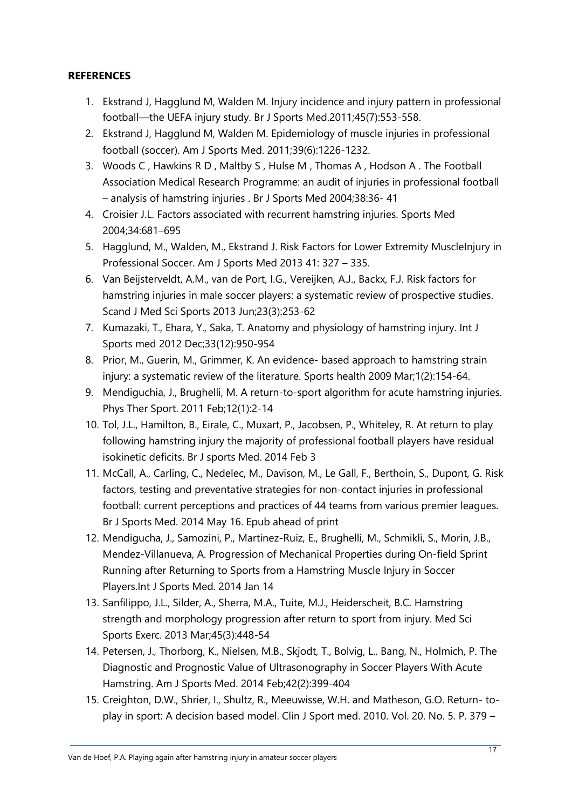# **REFERENCES**

- 1. Ekstrand J, Hagglund M, Walden M. Injury incidence and injury pattern in professional football—the UEFA injury study. Br J Sports Med.2011;45(7):553-558.
- 2. Ekstrand J, Hagglund M, Walden M. Epidemiology of muscle injuries in professional football (soccer). Am J Sports Med. 2011;39(6):1226-1232.
- 3. Woods C , Hawkins R D , Maltby S , Hulse M , Thomas A , Hodson A . The Football Association Medical Research Programme: an audit of injuries in professional football – analysis of hamstring injuries . Br J Sports Med 2004;38:36- 41
- 4. Croisier J.L. Factors associated with recurrent hamstring injuries. Sports Med 2004;34:681–695
- 5. Hagglund, M., Walden, M., Ekstrand J. Risk Factors for Lower Extremity Musclelnjury in Professional Soccer. Am J Sports Med 2013 41: 327 – 335.
- 6. Van Beijsterveldt, A.M., van de Port, I.G., Vereijken, A.J., Backx, F.J. Risk factors for hamstring injuries in male soccer players: a systematic review of prospective studies. Scand J Med Sci Sports 2013 Jun;23(3):253-62
- 7. Kumazaki, T., Ehara, Y., Saka, T. Anatomy and physiology of hamstring injury. Int J Sports med 2012 Dec;33(12):950-954
- 8. Prior, M., Guerin, M., Grimmer, K. An evidence- based approach to hamstring strain injury: a systematic review of the literature. Sports health 2009 Mar;1(2):154-64.
- 9. Mendiguchia, J., Brughelli, M. A return-to-sport algorithm for acute hamstring injuries. Phys Ther Sport. 2011 Feb;12(1):2-14
- 10. Tol, J.L., Hamilton, B., Eirale, C., Muxart, P., Jacobsen, P., Whiteley, R. At return to play following hamstring injury the majority of professional football players have residual isokinetic deficits. Br J sports Med. 2014 Feb 3
- 11. [McCall, A.](http://www.ncbi.nlm.nih.gov.proxy.library.uu.nl/pubmed?term=McCall%20A%5BAuthor%5D&cauthor=true&cauthor_uid=24837243), [Carling, C.,](http://www.ncbi.nlm.nih.gov.proxy.library.uu.nl/pubmed?term=Carling%20C%5BAuthor%5D&cauthor=true&cauthor_uid=24837243) [Nedelec, M.](http://www.ncbi.nlm.nih.gov.proxy.library.uu.nl/pubmed?term=Nedelec%20M%5BAuthor%5D&cauthor=true&cauthor_uid=24837243), [Davison, M.](http://www.ncbi.nlm.nih.gov.proxy.library.uu.nl/pubmed?term=Davison%20M%5BAuthor%5D&cauthor=true&cauthor_uid=24837243), [Le Gall, F.](http://www.ncbi.nlm.nih.gov.proxy.library.uu.nl/pubmed?term=Le%20Gall%20F%5BAuthor%5D&cauthor=true&cauthor_uid=24837243), [Berthoin, S.](http://www.ncbi.nlm.nih.gov.proxy.library.uu.nl/pubmed?term=Berthoin%20S%5BAuthor%5D&cauthor=true&cauthor_uid=24837243), [Dupont, G.](http://www.ncbi.nlm.nih.gov.proxy.library.uu.nl/pubmed?term=Dupont%20G%5BAuthor%5D&cauthor=true&cauthor_uid=24837243) Risk factors, testing and preventative strategies for non-contact injuries in professional football: current perceptions and practices of 44 teams from various premier leagues. [Br J Sports Med.](http://www.ncbi.nlm.nih.gov.proxy.library.uu.nl/pubmed/24837243) 2014 May 16. Epub ahead of print
- 12. Mendigucha, J., Samozini, P., Martinez-Ruiz, E., Brughelli, M., Schmikli, S., Morin, J.B., Mendez-Villanueva, A. Progression of Mechanical Properties during On-field Sprint Running after Returning to Sports from a Hamstring Muscle Injury in Soccer Players.Int J Sports Med. 2014 Jan 14
- 13. Sanfilippo, J.L., Silder, A., Sherra, M.A., Tuite, M.J., Heiderscheit, B.C. Hamstring strength and morphology progression after return to sport from injury. Med Sci Sports Exerc. 2013 Mar;45(3):448-54
- 14. Petersen, J., Thorborg, K., Nielsen, M.B., Skjodt, T., Bolvig, L., Bang, N., Holmich, P. The Diagnostic and Prognostic Value of Ultrasonography in Soccer Players With Acute Hamstring. Am J Sports Med. 2014 Feb;42(2):399-404
- 15. Creighton, D.W., Shrier, I., Shultz, R., Meeuwisse, W.H. and Matheson, G.O. Return- toplay in sport: A decision based model. Clin J Sport med. 2010. Vol. 20. No. 5. P. 379 –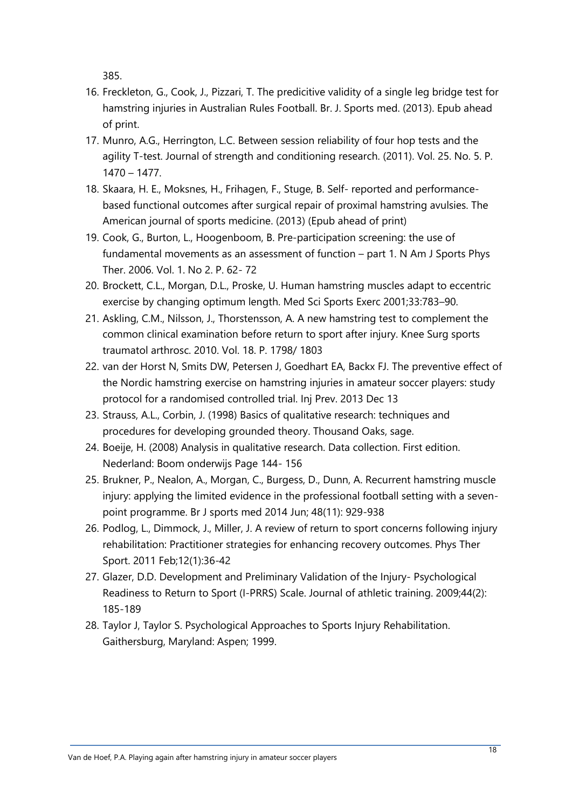385.

- 16. Freckleton, G., Cook, J., Pizzari, T. The predicitive validity of a single leg bridge test for hamstring injuries in Australian Rules Football. Br. J. Sports med. (2013). Epub ahead of print.
- 17. Munro, A.G., Herrington, L.C. Between session reliability of four hop tests and the agility T-test. Journal of strength and conditioning research. (2011). Vol. 25. No. 5. P. 1470 – 1477.
- 18. Skaara, H. E., Moksnes, H., Frihagen, F., Stuge, B. Self- reported and performancebased functional outcomes after surgical repair of proximal hamstring avulsies. The American journal of sports medicine. (2013) (Epub ahead of print)
- 19. Cook, G., Burton, L., Hoogenboom, B. Pre-participation screening: the use of fundamental movements as an assessment of function – part 1. N Am J Sports Phys Ther. 2006. Vol. 1. No 2. P. 62- 72
- 20. Brockett, C.L., Morgan, D.L., Proske, U. Human hamstring muscles adapt to eccentric exercise by changing optimum length. Med Sci Sports Exerc 2001;33:783–90.
- 21. Askling, C.M., Nilsson, J., Thorstensson, A. A new hamstring test to complement the common clinical examination before return to sport after injury. Knee Surg sports traumatol arthrosc. 2010. Vol. 18. P. 1798/ 1803
- 22. van der Horst N, Smits DW, Petersen J, Goedhart EA, Backx FJ. The preventive effect of the Nordic hamstring exercise on hamstring injuries in amateur soccer players: study protocol for a randomised controlled trial. Inj Prev. 2013 Dec 13
- 23. Strauss, A.L., Corbin, J. (1998) Basics of qualitative research: techniques and procedures for developing grounded theory. Thousand Oaks, sage.
- 24. Boeije, H. (2008) Analysis in qualitative research. Data collection. First edition. Nederland: Boom onderwijs Page 144- 156
- 25. Brukner, P., Nealon, A., Morgan, C., Burgess, D., Dunn, A. Recurrent hamstring muscle injury: applying the limited evidence in the professional football setting with a sevenpoint programme. Br J sports med 2014 Jun; 48(11): 929-938
- 26. Podlog, L., Dimmock, J., Miller, J. A review of return to sport concerns following injury rehabilitation: Practitioner strategies for enhancing recovery outcomes. Phys Ther Sport. 2011 Feb;12(1):36-42
- 27. Glazer, D.D. Development and Preliminary Validation of the Injury- Psychological Readiness to Return to Sport (I-PRRS) Scale. Journal of athletic training. 2009;44(2): 185-189
- 28. Taylor J, Taylor S. Psychological Approaches to Sports Injury Rehabilitation. Gaithersburg, Maryland: Aspen; 1999.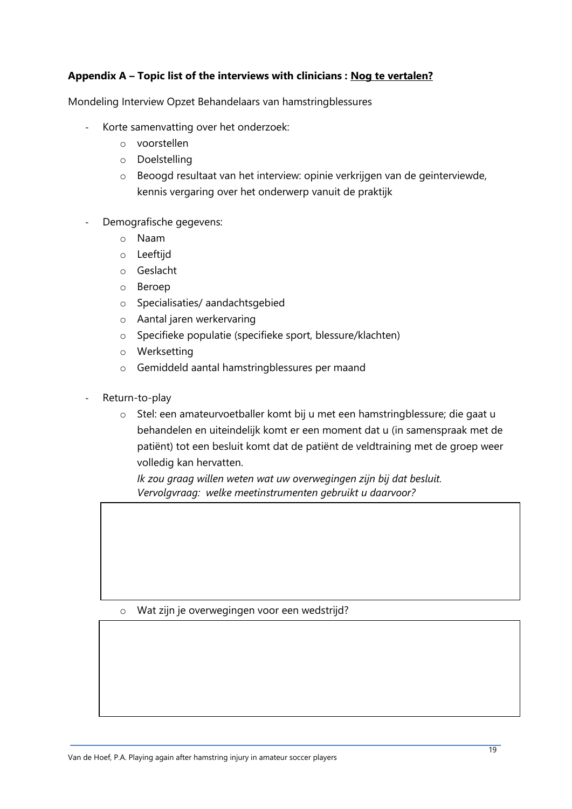# **Appendix A – Topic list of the interviews with clinicians : Nog te vertalen?**

Mondeling Interview Opzet Behandelaars van hamstringblessures

- Korte samenvatting over het onderzoek:
	- o voorstellen
	- o Doelstelling
	- o Beoogd resultaat van het interview: opinie verkrijgen van de geinterviewde, kennis vergaring over het onderwerp vanuit de praktijk
- Demografische gegevens:
	- o Naam
	- o Leeftijd
	- o Geslacht
	- o Beroep
	- o Specialisaties/ aandachtsgebied
	- o Aantal jaren werkervaring
	- o Specifieke populatie (specifieke sport, blessure/klachten)
	- o Werksetting
	- o Gemiddeld aantal hamstringblessures per maand
- Return-to-play
	- o Stel: een amateurvoetballer komt bij u met een hamstringblessure; die gaat u behandelen en uiteindelijk komt er een moment dat u (in samenspraak met de patiënt) tot een besluit komt dat de patiënt de veldtraining met de groep weer volledig kan hervatten.

*Ik zou graag willen weten wat uw overwegingen zijn bij dat besluit. Vervolgvraag: welke meetinstrumenten gebruikt u daarvoor?*

#### o Wat zijn je overwegingen voor een wedstrijd?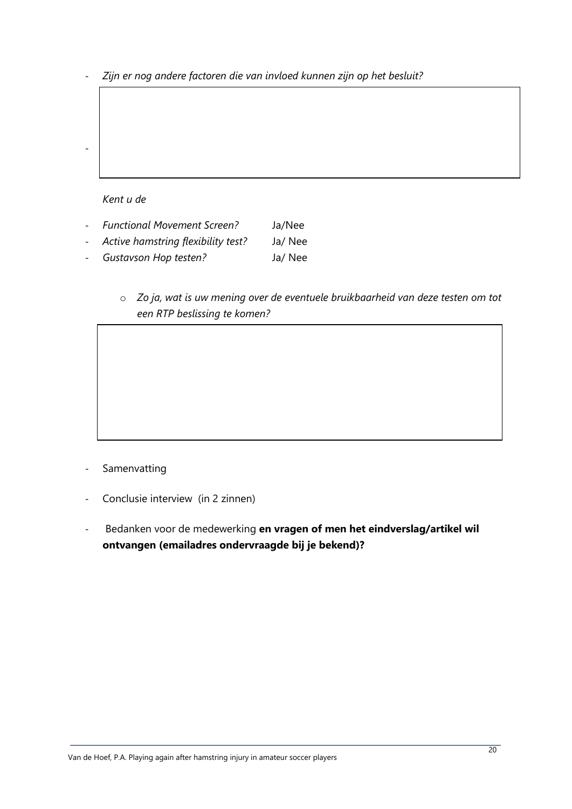- *Zijn er nog andere factoren die van invloed kunnen zijn op het besluit?*

*Kent u de*

- Samenvatting

- *Functional Movement Screen?* Ja/Nee
- *Active hamstring flexibility test?* Ja/ Nee
- *Gustavson Hop testen?* Ja/ Nee
	- o *Zo ja, wat is uw mening over de eventuele bruikbaarheid van deze testen om tot een RTP beslissing te komen?*

- Samenvatting
- Conclusie interview (in 2 zinnen)
- Bedanken voor de medewerking **en vragen of men het eindverslag/artikel wil ontvangen (emailadres ondervraagde bij je bekend)?**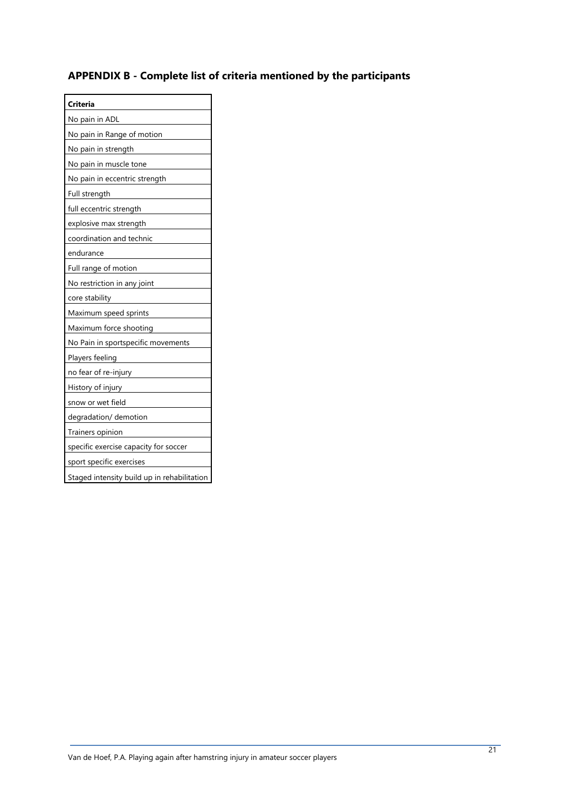# **APPENDIX B - Complete list of criteria mentioned by the participants**

| Criteria                                    |
|---------------------------------------------|
| No pain in ADL                              |
| No pain in Range of motion                  |
| No pain in strength                         |
| No pain in muscle tone                      |
| No pain in eccentric strength               |
| Full strength                               |
| full eccentric strength                     |
| explosive max strength                      |
| coordination and technic                    |
| endurance                                   |
| Full range of motion                        |
| No restriction in any joint                 |
| core stability                              |
| Maximum speed sprints                       |
| Maximum force shooting                      |
| No Pain in sportspecific movements          |
| Players feeling                             |
| no fear of re-injury                        |
| History of injury                           |
| snow or wet field                           |
| degradation/ demotion                       |
| Trainers opinion                            |
| specific exercise capacity for soccer       |
| sport specific exercises                    |
| Staged intensity build up in rehabilitation |